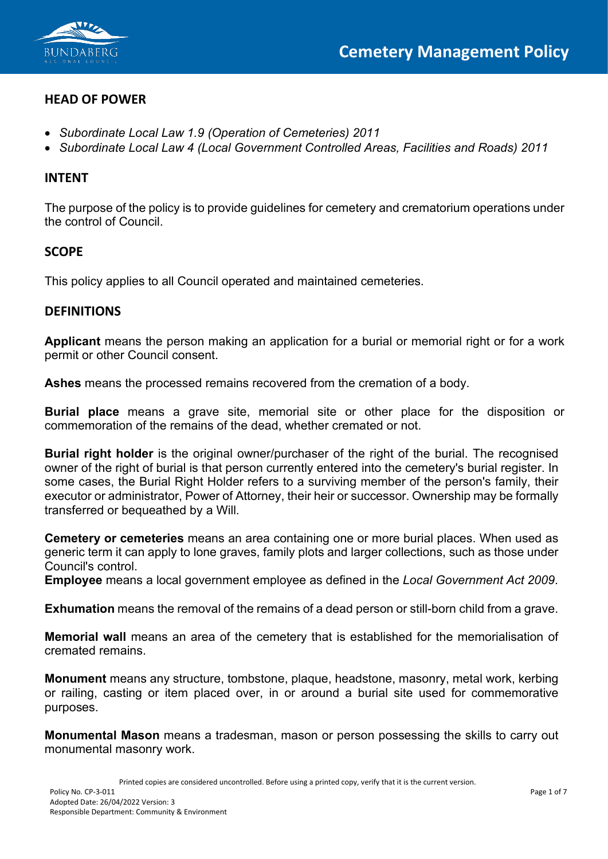

# **HEAD OF POWER**

- *Subordinate Local Law 1.9 (Operation of Cemeteries) 2011*
- *Subordinate Local Law 4 (Local Government Controlled Areas, Facilities and Roads) 2011*

### **INTENT**

The purpose of the policy is to provide guidelines for cemetery and crematorium operations under the control of Council.

### **SCOPE**

This policy applies to all Council operated and maintained cemeteries.

### **DEFINITIONS**

**Applicant** means the person making an application for a burial or memorial right or for a work permit or other Council consent.

**Ashes** means the processed remains recovered from the cremation of a body.

**Burial place** means a grave site, memorial site or other place for the disposition or commemoration of the remains of the dead, whether cremated or not.

**Burial right holder** is the original owner/purchaser of the right of the burial. The recognised owner of the right of burial is that person currently entered into the cemetery's burial register. In some cases, the Burial Right Holder refers to a surviving member of the person's family, their executor or administrator, Power of Attorney, their heir or successor. Ownership may be formally transferred or bequeathed by a Will.

**Cemetery or cemeteries** means an area containing one or more burial places. When used as generic term it can apply to lone graves, family plots and larger collections, such as those under Council's control.

**Employee** means a local government employee as defined in the *Local Government Act 2009*.

**Exhumation** means the removal of the remains of a dead person or still-born child from a grave.

**Memorial wall** means an area of the cemetery that is established for the memorialisation of cremated remains.

**Monument** means any structure, tombstone, plaque, headstone, masonry, metal work, kerbing or railing, casting or item placed over, in or around a burial site used for commemorative purposes.

**Monumental Mason** means a tradesman, mason or person possessing the skills to carry out monumental masonry work.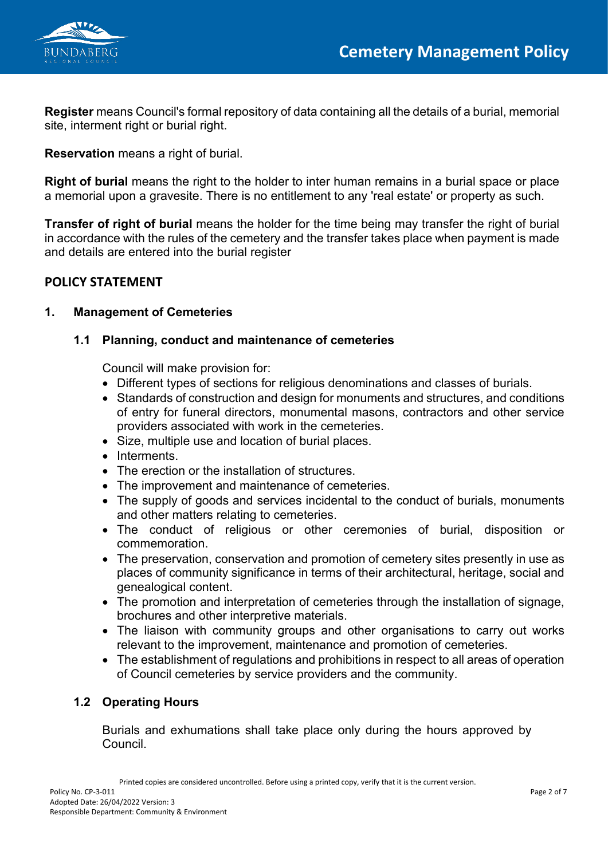

**Register** means Council's formal repository of data containing all the details of a burial, memorial site, interment right or burial right.

**Reservation** means a right of burial.

**Right of burial** means the right to the holder to inter human remains in a burial space or place a memorial upon a gravesite. There is no entitlement to any 'real estate' or property as such.

**Transfer of right of burial** means the holder for the time being may transfer the right of burial in accordance with the rules of the cemetery and the transfer takes place when payment is made and details are entered into the burial register

# **POLICY STATEMENT**

# **1. Management of Cemeteries**

# **1.1 Planning, conduct and maintenance of cemeteries**

Council will make provision for:

- Different types of sections for religious denominations and classes of burials.
- Standards of construction and design for monuments and structures, and conditions of entry for funeral directors, monumental masons, contractors and other service providers associated with work in the cemeteries.
- Size, multiple use and location of burial places.
- Interments.
- The erection or the installation of structures.
- The improvement and maintenance of cemeteries.
- The supply of goods and services incidental to the conduct of burials, monuments and other matters relating to cemeteries.
- The conduct of religious or other ceremonies of burial, disposition or commemoration.
- The preservation, conservation and promotion of cemetery sites presently in use as places of community significance in terms of their architectural, heritage, social and genealogical content.
- The promotion and interpretation of cemeteries through the installation of signage, brochures and other interpretive materials.
- The liaison with community groups and other organisations to carry out works relevant to the improvement, maintenance and promotion of cemeteries.
- The establishment of regulations and prohibitions in respect to all areas of operation of Council cemeteries by service providers and the community.

# **1.2 Operating Hours**

Burials and exhumations shall take place only during the hours approved by Council.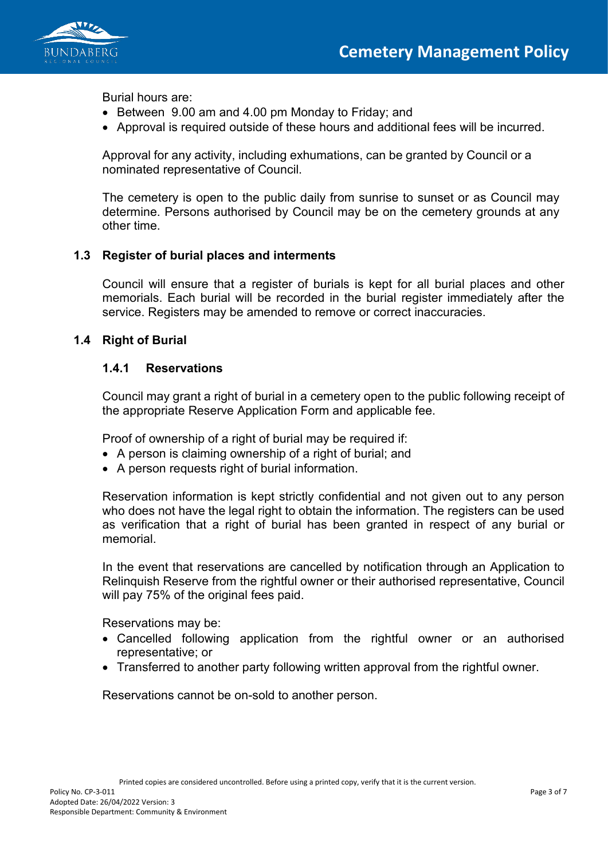

Burial hours are:

- Between 9.00 am and 4.00 pm Monday to Friday; and
- Approval is required outside of these hours and additional fees will be incurred.

Approval for any activity, including exhumations, can be granted by Council or a nominated representative of Council.

The cemetery is open to the public daily from sunrise to sunset or as Council may determine. Persons authorised by Council may be on the cemetery grounds at any other time.

### **1.3 Register of burial places and interments**

Council will ensure that a register of burials is kept for all burial places and other memorials. Each burial will be recorded in the burial register immediately after the service. Registers may be amended to remove or correct inaccuracies.

### **1.4 Right of Burial**

### **1.4.1 Reservations**

Council may grant a right of burial in a cemetery open to the public following receipt of the appropriate Reserve Application Form and applicable fee.

Proof of ownership of a right of burial may be required if:

- A person is claiming ownership of a right of burial; and
- A person requests right of burial information.

Reservation information is kept strictly confidential and not given out to any person who does not have the legal right to obtain the information. The registers can be used as verification that a right of burial has been granted in respect of any burial or memorial.

In the event that reservations are cancelled by notification through an Application to Relinquish Reserve from the rightful owner or their authorised representative, Council will pay 75% of the original fees paid.

Reservations may be:

- Cancelled following application from the rightful owner or an authorised representative; or
- Transferred to another party following written approval from the rightful owner.

Reservations cannot be on-sold to another person.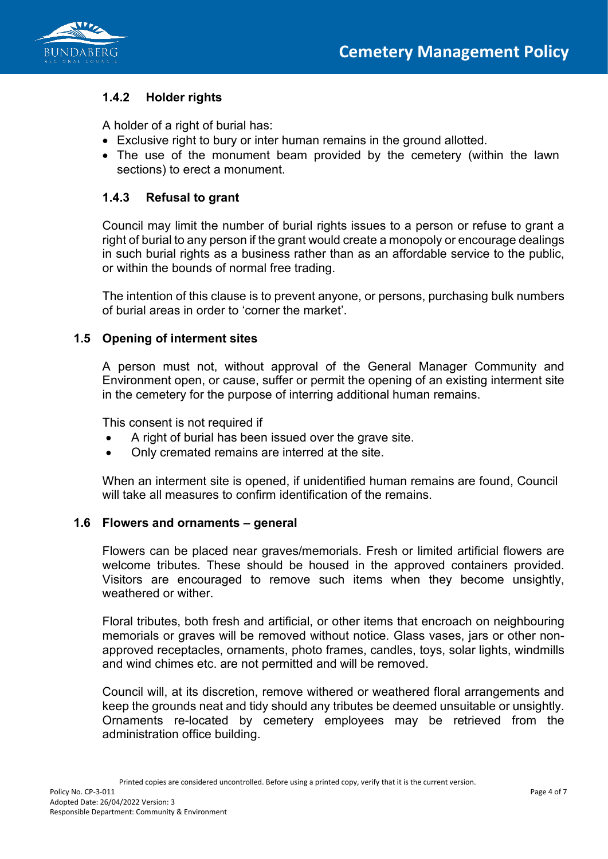

# **1.4.2 Holder rights**

A holder of a right of burial has:

- Exclusive right to bury or inter human remains in the ground allotted.
- The use of the monument beam provided by the cemetery (within the lawn sections) to erect a monument.

### **1.4.3 Refusal to grant**

Council may limit the number of burial rights issues to a person or refuse to grant a right of burial to any person if the grant would create a monopoly or encourage dealings in such burial rights as a business rather than as an affordable service to the public, or within the bounds of normal free trading.

The intention of this clause is to prevent anyone, or persons, purchasing bulk numbers of burial areas in order to 'corner the market'.

### **1.5 Opening of interment sites**

A person must not, without approval of the General Manager Community and Environment open, or cause, suffer or permit the opening of an existing interment site in the cemetery for the purpose of interring additional human remains.

This consent is not required if

- A right of burial has been issued over the grave site.
- Only cremated remains are interred at the site.

When an interment site is opened, if unidentified human remains are found, Council will take all measures to confirm identification of the remains.

#### **1.6 Flowers and ornaments – general**

Flowers can be placed near graves/memorials. Fresh or limited artificial flowers are welcome tributes. These should be housed in the approved containers provided. Visitors are encouraged to remove such items when they become unsightly, weathered or wither

Floral tributes, both fresh and artificial, or other items that encroach on neighbouring memorials or graves will be removed without notice. Glass vases, jars or other nonapproved receptacles, ornaments, photo frames, candles, toys, solar lights, windmills and wind chimes etc. are not permitted and will be removed.

Council will, at its discretion, remove withered or weathered floral arrangements and keep the grounds neat and tidy should any tributes be deemed unsuitable or unsightly. Ornaments re-located by cemetery employees may be retrieved from the administration office building.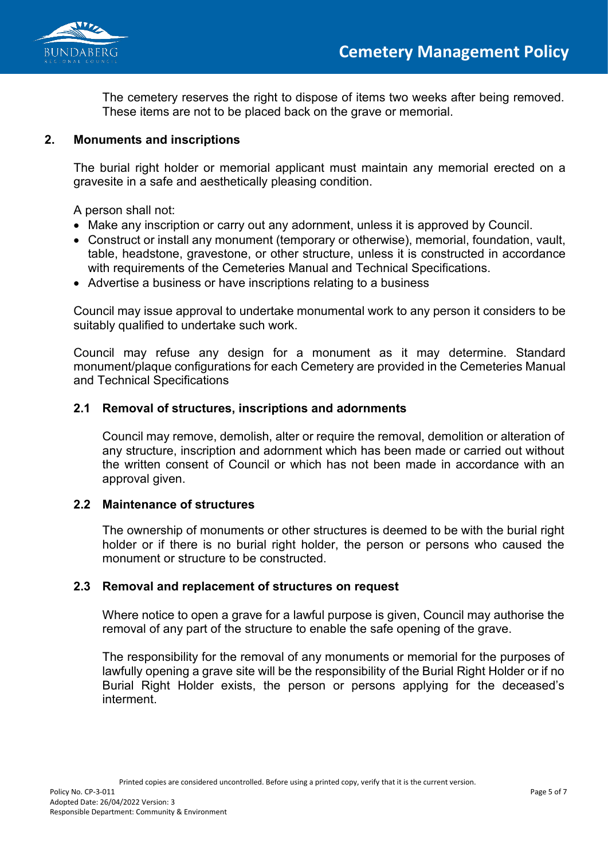



The cemetery reserves the right to dispose of items two weeks after being removed. These items are not to be placed back on the grave or memorial.

### **2. Monuments and inscriptions**

The burial right holder or memorial applicant must maintain any memorial erected on a gravesite in a safe and aesthetically pleasing condition.

A person shall not:

- Make any inscription or carry out any adornment, unless it is approved by Council.
- Construct or install any monument (temporary or otherwise), memorial, foundation, vault, table, headstone, gravestone, or other structure, unless it is constructed in accordance with requirements of the Cemeteries Manual and Technical Specifications.
- Advertise a business or have inscriptions relating to a business

Council may issue approval to undertake monumental work to any person it considers to be suitably qualified to undertake such work.

Council may refuse any design for a monument as it may determine. Standard monument/plaque configurations for each Cemetery are provided in the Cemeteries Manual and Technical Specifications

#### **2.1 Removal of structures, inscriptions and adornments**

Council may remove, demolish, alter or require the removal, demolition or alteration of any structure, inscription and adornment which has been made or carried out without the written consent of Council or which has not been made in accordance with an approval given.

#### **2.2 Maintenance of structures**

The ownership of monuments or other structures is deemed to be with the burial right holder or if there is no burial right holder, the person or persons who caused the monument or structure to be constructed.

#### **2.3 Removal and replacement of structures on request**

Where notice to open a grave for a lawful purpose is given, Council may authorise the removal of any part of the structure to enable the safe opening of the grave.

The responsibility for the removal of any monuments or memorial for the purposes of lawfully opening a grave site will be the responsibility of the Burial Right Holder or if no Burial Right Holder exists, the person or persons applying for the deceased's interment.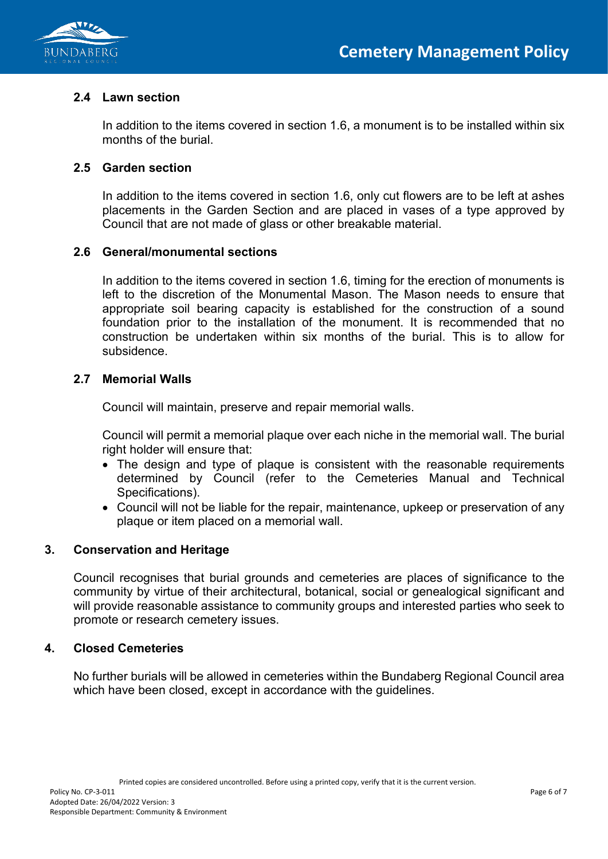



## **2.4 Lawn section**

In addition to the items covered in section 1.6, a monument is to be installed within six months of the burial.

### **2.5 Garden section**

In addition to the items covered in section 1.6, only cut flowers are to be left at ashes placements in the Garden Section and are placed in vases of a type approved by Council that are not made of glass or other breakable material.

#### **2.6 General/monumental sections**

In addition to the items covered in section 1.6, timing for the erection of monuments is left to the discretion of the Monumental Mason. The Mason needs to ensure that appropriate soil bearing capacity is established for the construction of a sound foundation prior to the installation of the monument. It is recommended that no construction be undertaken within six months of the burial. This is to allow for subsidence.

### **2.7 Memorial Walls**

Council will maintain, preserve and repair memorial walls.

Council will permit a memorial plaque over each niche in the memorial wall. The burial right holder will ensure that:

- The design and type of plaque is consistent with the reasonable requirements determined by Council (refer to the Cemeteries Manual and Technical Specifications).
- Council will not be liable for the repair, maintenance, upkeep or preservation of any plaque or item placed on a memorial wall.

#### **3. Conservation and Heritage**

Council recognises that burial grounds and cemeteries are places of significance to the community by virtue of their architectural, botanical, social or genealogical significant and will provide reasonable assistance to community groups and interested parties who seek to promote or research cemetery issues.

#### **4. Closed Cemeteries**

No further burials will be allowed in cemeteries within the Bundaberg Regional Council area which have been closed, except in accordance with the guidelines.